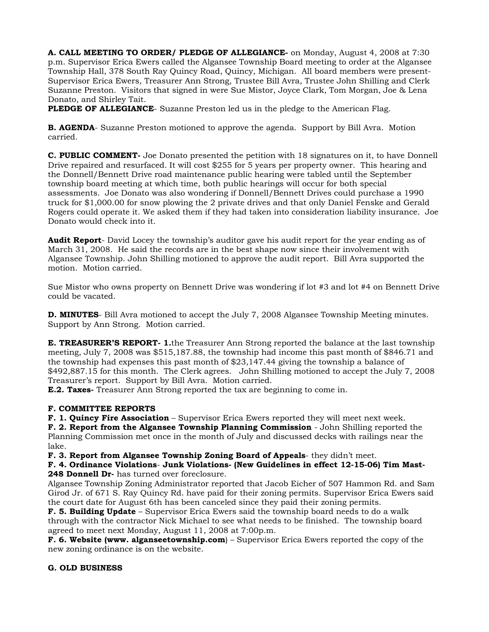**A. CALL MEETING TO ORDER/ PLEDGE OF ALLEGIANCE-** on Monday, August 4, 2008 at 7:30 p.m. Supervisor Erica Ewers called the Algansee Township Board meeting to order at the Algansee Township Hall, 378 South Ray Quincy Road, Quincy, Michigan. All board members were present-Supervisor Erica Ewers, Treasurer Ann Strong, Trustee Bill Avra, Trustee John Shilling and Clerk Suzanne Preston. Visitors that signed in were Sue Mistor, Joyce Clark, Tom Morgan, Joe & Lena Donato, and Shirley Tait.

**PLEDGE OF ALLEGIANCE**- Suzanne Preston led us in the pledge to the American Flag.

**B. AGENDA**- Suzanne Preston motioned to approve the agenda. Support by Bill Avra. Motion carried.

**C. PUBLIC COMMENT-** Joe Donato presented the petition with 18 signatures on it, to have Donnell Drive repaired and resurfaced. It will cost \$255 for 5 years per property owner. This hearing and the Donnell/Bennett Drive road maintenance public hearing were tabled until the September township board meeting at which time, both public hearings will occur for both special assessments. Joe Donato was also wondering if Donnell/Bennett Drives could purchase a 1990 truck for \$1,000.00 for snow plowing the 2 private drives and that only Daniel Fenske and Gerald Rogers could operate it. We asked them if they had taken into consideration liability insurance. Joe Donato would check into it.

**Audit Report**- David Locey the township's auditor gave his audit report for the year ending as of March 31, 2008. He said the records are in the best shape now since their involvement with Algansee Township. John Shilling motioned to approve the audit report. Bill Avra supported the motion. Motion carried.

Sue Mistor who owns property on Bennett Drive was wondering if lot #3 and lot #4 on Bennett Drive could be vacated.

**D. MINUTES**- Bill Avra motioned to accept the July 7, 2008 Algansee Township Meeting minutes. Support by Ann Strong. Motion carried.

**E. TREASURER'S REPORT- 1.**the Treasurer Ann Strong reported the balance at the last township meeting, July 7, 2008 was \$515,187.88, the township had income this past month of \$846.71 and the township had expenses this past month of \$23,147.44 giving the township a balance of \$492,887.15 for this month. The Clerk agrees. John Shilling motioned to accept the July 7, 2008 Treasurer's report. Support by Bill Avra. Motion carried.

**E.2. Taxes-** Treasurer Ann Strong reported the tax are beginning to come in.

## **F. COMMITTEE REPORTS**

**F. 1. Quincy Fire Association** – Supervisor Erica Ewers reported they will meet next week.

**F. 2. Report from the Algansee Township Planning Commission** - John Shilling reported the Planning Commission met once in the month of July and discussed decks with railings near the lake.

**F. 3. Report from Algansee Township Zoning Board of Appeals**- they didn't meet.

## **F. 4. Ordinance Violations**- **Junk Violations- (New Guidelines in effect 12-15-06) Tim Mast-248 Donnell Dr-** has turned over foreclosure.

Algansee Township Zoning Administrator reported that Jacob Eicher of 507 Hammon Rd. and Sam Girod Jr. of 671 S. Ray Quincy Rd. have paid for their zoning permits. Supervisor Erica Ewers said the court date for August 6th has been canceled since they paid their zoning permits.

**F. 5. Building Update** – Supervisor Erica Ewers said the township board needs to do a walk through with the contractor Nick Michael to see what needs to be finished. The township board agreed to meet next Monday, August 11, 2008 at 7:00p.m.

**F. 6. Website (www. alganseetownship.com**) – Supervisor Erica Ewers reported the copy of the new zoning ordinance is on the website.

## **G. OLD BUSINESS**